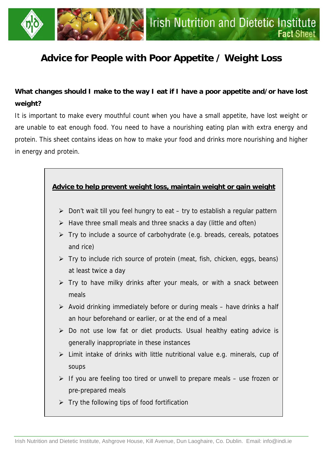

# **Advice for People with Poor Appetite / Weight Loss**

# **What changes should I make to the way I eat if I have a poor appetite and/or have lost weight?**

It is important to make every mouthful count when you have a small appetite, have lost weight or are unable to eat enough food. You need to have a nourishing eating plan with extra energy and protein. This sheet contains ideas on how to make your food and drinks more nourishing and higher in energy and protein.

## **Advice to help prevent weight loss, maintain weight or gain weight**

- $\triangleright$  Don't wait till you feel hungry to eat try to establish a regular pattern
- $\triangleright$  Have three small meals and three snacks a day (little and often)
- $\triangleright$  Try to include a source of carbohydrate (e.g. breads, cereals, potatoes and rice)
- $\triangleright$  Try to include rich source of protein (meat, fish, chicken, eggs, beans) at least twice a day
- $\triangleright$  Try to have milky drinks after your meals, or with a snack between meals
- $\triangleright$  Avoid drinking immediately before or during meals have drinks a half an hour beforehand or earlier, or at the end of a meal
- $\triangleright$  Do not use low fat or diet products. Usual healthy eating advice is generally inappropriate in these instances
- $\triangleright$  Limit intake of drinks with little nutritional value e.g. minerals, cup of soups
- $\triangleright$  If you are feeling too tired or unwell to prepare meals use frozen or pre-prepared meals
- $\triangleright$  Try the following tips of food fortification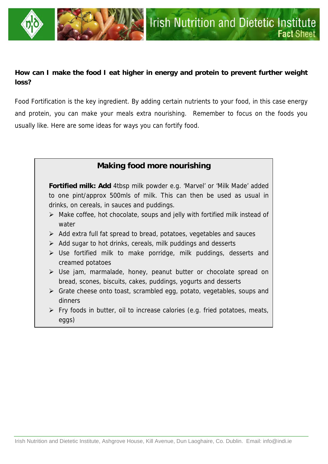

## **How can I make the food I eat higher in energy and protein to prevent further weight loss?**

Food Fortification is the key ingredient. By adding certain nutrients to your food, in this case energy and protein, you can make your meals extra nourishing. Remember to focus on the foods you usually like. Here are some ideas for ways you can fortify food.

## **Making food more nourishing**

**Fortified milk: Add** 4tbsp milk powder e.g. 'Marvel' or 'Milk Made' added to one pint/approx 500mls of milk. This can then be used as usual in drinks, on cereals, in sauces and puddings.

- $\triangleright$  Make coffee, hot chocolate, soups and jelly with fortified milk instead of water
- $\triangleright$  Add extra full fat spread to bread, potatoes, vegetables and sauces
- $\triangleright$  Add sugar to hot drinks, cereals, milk puddings and desserts
- $\triangleright$  Use fortified milk to make porridge, milk puddings, desserts and creamed potatoes
- ¾ Use jam, marmalade, honey, peanut butter or chocolate spread on bread, scones, biscuits, cakes, puddings, yogurts and desserts
- ¾ Grate cheese onto toast, scrambled egg, potato, vegetables, soups and dinners
- $\triangleright$  Fry foods in butter, oil to increase calories (e.g. fried potatoes, meats, eggs)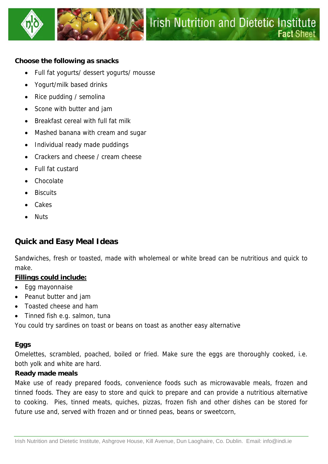



#### **Choose the following as snacks**

- Full fat yogurts/ dessert yogurts/ mousse
- Yogurt/milk based drinks
- Rice pudding / semolina
- Scone with butter and jam
- Breakfast cereal with full fat milk
- Mashed banana with cream and sugar
- Individual ready made puddings
- Crackers and cheese / cream cheese
- Full fat custard
- Chocolate
- **Biscuits**
- Cakes
- Nuts

## **Quick and Easy Meal Ideas**

Sandwiches, fresh or toasted, made with wholemeal or white bread can be nutritious and quick to make.

### **Fillings could include:**

- Egg mayonnaise
- Peanut butter and jam
- Toasted cheese and ham
- Tinned fish e.g. salmon, tuna

You could try sardines on toast or beans on toast as another easy alternative

### **Eggs**

Omelettes, scrambled, poached, boiled or fried. Make sure the eggs are thoroughly cooked, i.e. both yolk and white are hard.

#### **Ready made meals**

Make use of ready prepared foods, convenience foods such as microwavable meals, frozen and tinned foods. They are easy to store and quick to prepare and can provide a nutritious alternative to cooking. Pies, tinned meats, quiches, pizzas, frozen fish and other dishes can be stored for future use and, served with frozen and or tinned peas, beans or sweetcorn,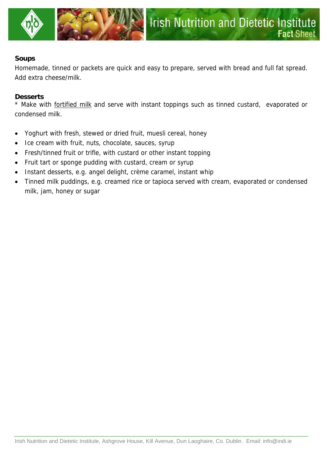

#### **Soups**

Homemade, tinned or packets are quick and easy to prepare, served with bread and full fat spread. Add extra cheese/milk.

#### **Desserts**

\* Make with fortified milk and serve with instant toppings such as tinned custard, evaporated or condensed milk.

- Yoghurt with fresh, stewed or dried fruit, muesli cereal, honey
- Ice cream with fruit, nuts, chocolate, sauces, syrup
- Fresh/tinned fruit or trifle, with custard or other instant topping
- Fruit tart or sponge pudding with custard, cream or syrup
- Instant desserts, e.g. angel delight, crème caramel, instant whip
- Tinned milk puddings, e.g. creamed rice or tapioca served with cream, evaporated or condensed milk, jam, honey or sugar